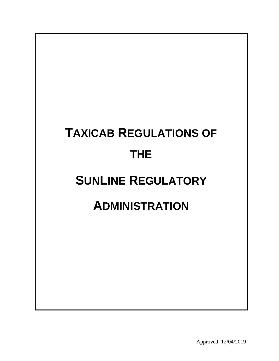# **TAXICAB REGULATIONS OF THE SUNLINE REGULATORY ADMINISTRATION**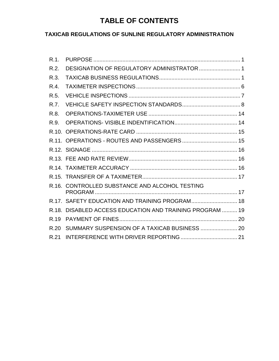# **TABLE OF CONTENTS**

### **TAXICAB REGULATIONS OF SUNLINE REGULATORY ADMINISTRATION**

| $R.1$ . |                                                    |  |
|---------|----------------------------------------------------|--|
| R.2.    | DESIGNATION OF REGULATORY ADMINISTRATOR  1         |  |
| R.3.    |                                                    |  |
| R.4.    |                                                    |  |
| R.5.    |                                                    |  |
| R.7.    |                                                    |  |
| R.8.    |                                                    |  |
| R.9.    |                                                    |  |
| R 10    |                                                    |  |
|         |                                                    |  |
|         |                                                    |  |
|         |                                                    |  |
|         |                                                    |  |
|         |                                                    |  |
|         | R.16. CONTROLLED SUBSTANCE AND ALCOHOL TESTING     |  |
|         |                                                    |  |
|         | R.17. SAFETY EDUCATION AND TRAINING PROGRAM 18     |  |
| R.18.   | DISABLED ACCESS EDUCATION AND TRAINING PROGRAM  19 |  |
| R.19    |                                                    |  |
| R.20    |                                                    |  |
| R.21    |                                                    |  |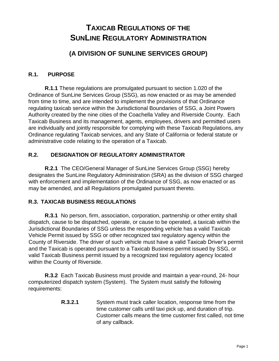# **TAXICAB REGULATIONS OF THE SUNLINE REGULATORY ADMINISTRATION**

## **(A DIVISION OF SUNLINE SERVICES GROUP)**

#### <span id="page-2-0"></span>**R.1. PURPOSE**

**R.1.1** These regulations are promulgated pursuant to section 1.020 of the Ordinance of SunLine Services Group (SSG), as now enacted or as may be amended from time to time, and are intended to implement the provisions of that Ordinance regulating taxicab service within the Jurisdictional Boundaries of SSG, a Joint Powers Authority created by the nine cities of the Coachella Valley and Riverside County. Each Taxicab Business and its management, agents, employees, drivers and permitted users are individually and jointly responsible for complying with these Taxicab Regulations, any Ordinance regulating Taxicab services, and any State of California or federal statute or administrative code relating to the operation of a Taxicab.

#### <span id="page-2-1"></span>**R.2. DESIGNATION OF REGULATORY ADMINISTRATOR**

**R.2.1** The CEO/General Manager of SunLine Services Group (SSG) hereby designates the SunLine Regulatory Administration (SRA) as the division of SSG charged with enforcement and implementation of the Ordinance of SSG, as now enacted or as may be amended, and all Regulations promulgated pursuant thereto.

#### <span id="page-2-2"></span>**R.3. TAXICAB BUSINESS REGULATIONS**

**R.3.1** No person, firm, association, corporation, partnership or other entity shall dispatch, cause to be dispatched, operate, or cause to be operated, a taxicab within the Jurisdictional Boundaries of SSG unless the responding vehicle has a valid Taxicab Vehicle Permit issued by SSG or other recognized taxi regulatory agency within the County of Riverside. The driver of such vehicle must have a valid Taxicab Driver's permit and the Taxicab is operated pursuant to a Taxicab Business permit issued by SSG, or valid Taxicab Business permit issued by a recognized taxi regulatory agency located within the County of Riverside.

**R.3.2** Each Taxicab Business must provide and maintain a year-round, 24- hour computerized dispatch system (System). The System must satisfy the following requirements:

> **R.3.2.1** System must track caller location, response time from the time customer calls until taxi pick up, and duration of trip. Customer calls means the time customer first called, not time of any callback.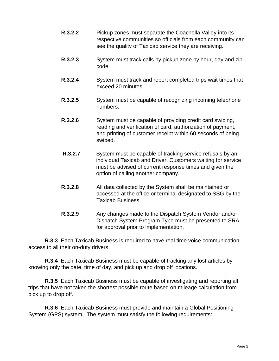- **R.3.2.2** Pickup zones must separate the Coachella Valley into its respective communities so officials from each community can see the quality of Taxicab service they are receiving.
- **R.3.2.3** System must track calls by pickup zone by hour, day and zip code.
- **R.3.2.4** System must track and report completed trips wait times that exceed 20 minutes.
- **R.3.2.5** System must be capable of recognizing incoming telephone numbers.
- **R.3.2.6** System must be capable of providing credit card swiping, reading and verification of card, authorization of payment, and printing of customer receipt within 60 seconds of being swiped.
- **R.3.2.7** System must be capable of tracking service refusals by an individual Taxicab and Driver. Customers waiting for service must be advised of current response times and given the option of calling another company.
- **R.3.2.8** All data collected by the System shall be maintained or accessed at the office or terminal designated to SSG by the Taxicab Business
- **R.3.2.9** Any changes made to the Dispatch System Vendor and/or Dispatch System Program Type must be presented to SRA for approval prior to implementation.

**R.3.3** Each Taxicab Business is required to have real time voice communication access to all their on-duty drivers.

**R.3.4** Each Taxicab Business must be capable of tracking any lost articles by knowing only the date, time of day, and pick up and drop off locations.

**R.3.5** Each Taxicab Business must be capable of investigating and reporting all trips that have not taken the shortest possible route based on mileage calculation from pick up to drop off.

**R.3.6** Each Taxicab Business must provide and maintain a Global Positioning System (GPS) system. The system must satisfy the following requirements: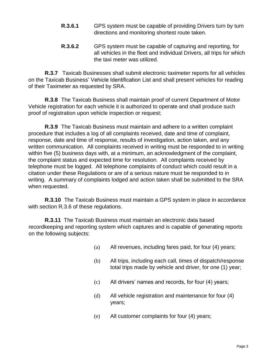- **R.3.6.1** GPS system must be capable of providing Drivers turn by turn directions and monitoring shortest route taken.
- **R.3.6.2** GPS system must be capable of capturing and reporting, for all vehicles in the fleet and individual Drivers, all trips for which the taxi meter was utilized.

**R.3.7** Taxicab Businesses shall submit electronic taximeter reports for all vehicles on the Taxicab Business' Vehicle Identification List and shall present vehicles for reading of their Taximeter as requested by SRA.

**R.3.8** The Taxicab Business shall maintain proof of current Department of Motor Vehicle registration for each vehicle it is authorized to operate and shall produce such proof of registration upon vehicle inspection or request;

**R.3.9** The Taxicab Business must maintain and adhere to a written complaint procedure that includes a log of all complaints received, date and time of complaint, response, date and time of response, results of investigation, action taken, and any written communication. All complaints received in writing must be responded to in writing within five (5) business days with, at a minimum, an acknowledgment of the complaint, the complaint status and expected time for resolution. All complaints received by telephone must be logged. All telephone complaints of conduct which could result in a citation under these Regulations or are of a serious nature must be responded to in writing. A summary of complaints lodged and action taken shall be submitted to the SRA when requested.

**R.3.10** The Taxicab Business must maintain a GPS system in place in accordance with section R.3.6 of these regulations.

**R.3.11** The Taxicab Business must maintain an electronic data based recordkeeping and reporting system which captures and is capable of generating reports on the following subjects:

- (a) All revenues, including fares paid, for four (4) years;
- (b) All trips, including each call, times of dispatch/response total trips made by vehicle and driver, for one (1) year;
- (c) All drivers' names and records, for four (4) years;
- (d) All vehicle registration and maintenance for four (4) years;
- (e) All customer complaints for four (4) years;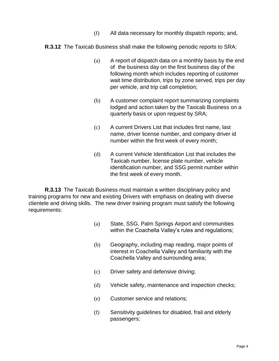- (f) All data necessary for monthly dispatch reports; and,
- **R.3.12** The Taxicab Business shall make the following periodic reports to SRA:
	- (a) A report of dispatch data on a monthly basis by the end of the business day on the first business day of the following month which includes reporting of customer wait time distribution, trips by zone served, trips per day per vehicle, and trip call completion;
	- (b) A customer complaint report summarizing complaints lodged and action taken by the Taxicab Business on a quarterly basis or upon request by SRA;
	- (c) A current Drivers List that includes first name, last name, driver license number, and company driver id number within the first week of every month;
	- (d) A current Vehicle Identification List that includes the Taxicab number, license plate number, vehicle identification number, and SSG permit number within the first week of every month.

**R.3.13** The Taxicab Business must maintain a written disciplinary policy and training programs for new and existing Drivers with emphasis on dealing with diverse clientele and driving skills. The new driver training program must satisfy the following requirements:

- (a) State, SSG, Palm Springs Airport and communities within the Coachella Valley's rules and regulations;
- (b) Geography, including map reading, major points of interest in Coachella Valley and familiarity with the Coachella Valley and surrounding area;
- (c) Driver safety and defensive driving;
- (d) Vehicle safety, maintenance and inspection checks;
- (e) Customer service and relations;
- (f) Sensitivity guidelines for disabled, frail and elderly passengers;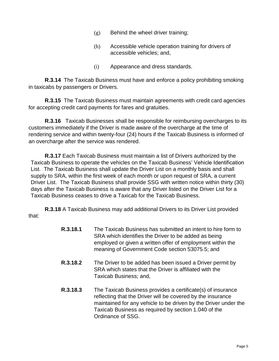- $(g)$  Behind the wheel driver training;
- (h) Accessible vehicle operation training for drivers of accessible vehicles; and,
- (i) Appearance and dress standards.

**R.3.14** The Taxicab Business must have and enforce a policy prohibiting smoking in taxicabs by passengers or Drivers.

**R.3.15** The Taxicab Business must maintain agreements with credit card agencies for accepting credit card payments for fares and gratuities.

**R.3.16** Taxicab Businesses shall be responsible for reimbursing overcharges to its customers immediately if the Driver is made aware of the overcharge at the time of rendering service and within twenty-four (24) hours if the Taxicab Business is informed of an overcharge after the service was rendered.

**R.3.17** Each Taxicab Business must maintain a list of Drivers authorized by the Taxicab Business to operate the vehicles on the Taxicab Business' Vehicle Identification List. The Taxicab Business shall update the Driver List on a monthly basis and shall supply to SRA, within the first week of each month or upon request of SRA, a current Driver List. The Taxicab Business shall provide SSG with written notice within thirty (30) days after the Taxicab Business is aware that any Driver listed on the Driver List for a Taxicab Business ceases to drive a Taxicab for the Taxicab Business.

**R.3.18** A Taxicab Business may add additional Drivers to its Driver List provided that:

- **R.3.18.1** The Taxicab Business has submitted an intent to hire form to SRA which identifies the Driver to be added as being employed or given a written offer of employment within the meaning of Government Code section 53075.5; and
- **R.3.18.2** The Driver to be added has been issued a Driver permit by SRA which states that the Driver is affiliated with the Taxicab Business; and,
- **R.3.18.3** The Taxicab Business provides a certificate(s) of insurance reflecting that the Driver will be covered by the insurance maintained for any vehicle to be driven by the Driver under the Taxicab Business as required by section 1.040 of the Ordinance of SSG.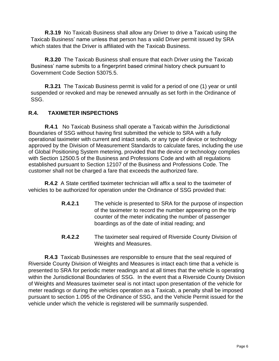**R.3.19** No Taxicab Business shall allow any Driver to drive a Taxicab using the Taxicab Business' name unless that person has a valid Driver permit issued by SRA which states that the Driver is affiliated with the Taxicab Business.

**R.3.20** The Taxicab Business shall ensure that each Driver using the Taxicab Business' name submits to a fingerprint based criminal history check pursuant to Government Code Section 53075.5.

**R.3.21** The Taxicab Business permit is valid for a period of one (1) year or until suspended or revoked and may be renewed annually as set forth in the Ordinance of SSG.

#### <span id="page-7-0"></span>**R.4. TAXIMETER INSPECTIONS**

**R.4.1** No Taxicab Business shall operate a Taxicab within the Jurisdictional Boundaries of SSG without having first submitted the vehicle to SRA with a fully operational taximeter with current and intact seals, or any type of device or technology approved by the Division of Measurement Standards to calculate fares, including the use of Global Positioning System metering, provided that the device or technology complies with Section 12500.5 of the Business and Professions Code and with all regulations established pursuant to Section 12107 of the Business and Professions Code. The customer shall not be charged a fare that exceeds the authorized fare.

**R.4.2** A State certified taximeter technician will affix a seal to the taximeter of vehicles to be authorized for operation under the Ordinance of SSG provided that:

- **R.4.2.1** The vehicle is presented to SRA for the purpose of inspection of the taximeter to record the number appearing on the trip counter of the meter indicating the number of passenger boardings as of the date of initial reading; and
- **R.4.2.2** The taximeter seal required of Riverside County Division of Weights and Measures.

**R.4.3** Taxicab Businesses are responsible to ensure that the seal required of Riverside County Division of Weights and Measures is intact each time that a vehicle is presented to SRA for periodic meter readings and at all times that the vehicle is operating within the Jurisdictional Boundaries of SSG. In the event that a Riverside County Division of Weights and Measures taximeter seal is not intact upon presentation of the vehicle for meter readings or during the vehicles operation as a Taxicab, a penalty shall be imposed pursuant to section 1.095 of the Ordinance of SSG, and the Vehicle Permit issued for the vehicle under which the vehicle is registered will be summarily suspended.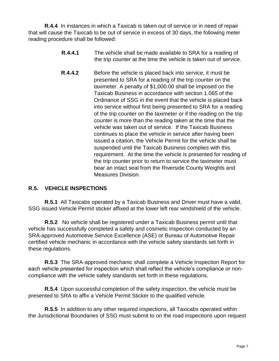**R.4.4** In instances in which a Taxicab is taken out of service or in need of repair that will cause the Taxicab to be out of service in excess of 30 days, the following meter reading procedure shall be followed:

- **R.4.4.1** The vehicle shall be made available to SRA for a reading of the trip counter at the time the vehicle is taken out of service.
- **R.4.4.2** Before the vehicle is placed back into service, it must be presented to SRA for a reading of the trip counter on the taximeter. A penalty of \$1,000.00 shall be imposed on the Taxicab Business in accordance with section 1.065 of the Ordinance of SSG in the event that the vehicle is placed back into service without first being presented to SRA for a reading of the trip counter on the taximeter or if the reading on the trip counter is more than the reading taken at the time that the vehicle was taken out of service. If the Taxicab Business continues to place the vehicle in service after having been issued a citation, the Vehicle Permit for the vehicle shall be suspended until the Taxicab Business complies with this requirement. At the time the vehicle is presented for reading of the trip counter prior to return to service the taximeter must bear an intact seal from the Riverside County Weights and Measures Division.

#### <span id="page-8-0"></span>**R.5. VEHICLE INSPECTIONS**

**R.5.1** All Taxicabs operated by a Taxicab Business and Driver must have a valid, SSG issued Vehicle Permit sticker affixed at the lower left rear windshield of the vehicle.

**R.5.2** No vehicle shall be registered under a Taxicab Business permit until that vehicle has successfully completed a safety and cosmetic inspection conducted by an SRA-approved Automotive Service Excellence (ASE) or Bureau of Automotive Repair certified vehicle mechanic in accordance with the vehicle safety standards set forth in these regulations.

**R.5.3** The SRA-approved mechanic shall complete a Vehicle Inspection Report for each vehicle presented for inspection which shall reflect the vehicle's compliance or noncompliance with the vehicle safety standards set forth in these regulations.

**R.5.4** Upon successful completion of the safety inspection, the vehicle must be presented to SRA to affix a Vehicle Permit Sticker to the qualified vehicle.

**R.5.5** In addition to any other required inspections, all Taxicabs operated within the Jurisdictional Boundaries of SSG must submit to on the road inspections upon request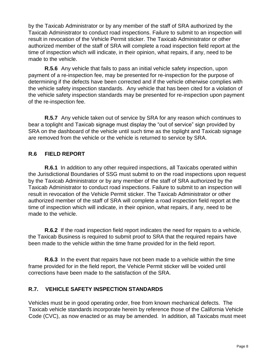by the Taxicab Administrator or by any member of the staff of SRA authorized by the Taxicab Administrator to conduct road inspections. Failure to submit to an inspection will result in revocation of the Vehicle Permit sticker. The Taxicab Administrator or other authorized member of the staff of SRA will complete a road inspection field report at the time of inspection which will indicate, in their opinion, what repairs, if any, need to be made to the vehicle.

**R.5.6** Any vehicle that fails to pass an initial vehicle safety inspection, upon payment of a re-inspection fee, may be presented for re-inspection for the purpose of determining if the defects have been corrected and if the vehicle otherwise complies with the vehicle safety inspection standards. Any vehicle that has been cited for a violation of the vehicle safety inspection standards may be presented for re-inspection upon payment of the re-inspection fee.

**R.5.7** Any vehicle taken out of service by SRA for any reason which continues to bear a toplight and Taxicab signage must display the "out of service" sign provided by SRA on the dashboard of the vehicle until such time as the toplight and Taxicab signage are removed from the vehicle or the vehicle is returned to service by SRA.

#### **R.6 FIELD REPORT**

**R.6.1** In addition to any other required inspections, all Taxicabs operated within the Jurisdictional Boundaries of SSG must submit to on the road inspections upon request by the Taxicab Administrator or by any member of the staff of SRA authorized by the Taxicab Administrator to conduct road inspections. Failure to submit to an inspection will result in revocation of the Vehicle Permit sticker. The Taxicab Administrator or other authorized member of the staff of SRA will complete a road inspection field report at the time of inspection which will indicate, in their opinion, what repairs, if any, need to be made to the vehicle.

**R.6.2** If the road inspection field report indicates the need for repairs to a vehicle, the Taxicab Business is required to submit proof to SRA that the required repairs have been made to the vehicle within the time frame provided for in the field report.

**R.6.3** In the event that repairs have not been made to a vehicle within the time frame provided for in the field report, the Vehicle Permit sticker will be voided until corrections have been made to the satisfaction of the SRA.

#### <span id="page-9-0"></span>**R.7. VEHICLE SAFETY INSPECTION STANDARDS**

Vehicles must be in good operating order, free from known mechanical defects. The Taxicab vehicle standards incorporate herein by reference those of the California Vehicle Code (CVC), as now enacted or as may be amended. In addition, all Taxicabs must meet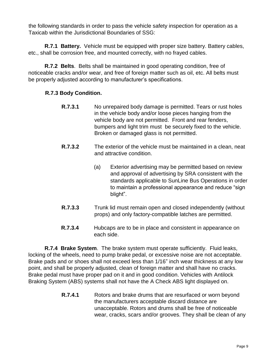the following standards in order to pass the vehicle safety inspection for operation as a Taxicab within the Jurisdictional Boundaries of SSG:

**R.7.1 Battery.** Vehicle must be equipped with proper size battery. Battery cables, etc., shall be corrosion free, and mounted correctly, with no frayed cables.

**R.7.2 Belts**. Belts shall be maintained in good operating condition, free of noticeable cracks and/or wear, and free of foreign matter such as oil, etc. All belts must be properly adjusted according to manufacturer's specifications.

#### **R.7.3 Body Condition.**

- **R.7.3.1** No unrepaired body damage is permitted. Tears or rust holes in the vehicle body and/or loose pieces hanging from the vehicle body are not permitted. Front and rear fenders, bumpers and light trim must be securely fixed to the vehicle. Broken or damaged glass is not permitted.
- **R.7.3.2** The exterior of the vehicle must be maintained in a clean, neat and attractive condition.
	- (a) Exterior advertising may be permitted based on review and approval of advertising by SRA consistent with the standards applicable to SunLine Bus Operations in order to maintain a professional appearance and reduce "sign blight".
- **R.7.3.3** Trunk lid must remain open and closed independently (without props) and only factory-compatible latches are permitted.
- **R.7.3.4** Hubcaps are to be in place and consistent in appearance on each side.

**R.7.4 Brake System**. The brake system must operate sufficiently. Fluid leaks, locking of the wheels, need to pump brake pedal, or excessive noise are not acceptable. Brake pads and or shoes shall not exceed less than 1/16" inch wear thickness at any low point, and shall be properly adjusted, clean of foreign matter and shall have no cracks. Brake pedal must have proper pad on it and in good condition. Vehicles with Antilock Braking System (ABS) systems shall not have the A Check ABS light displayed on.

> **R.7.4.1** Rotors and brake drums that are resurfaced or worn beyond the manufacturers acceptable discard distance are unacceptable. Rotors and drums shall be free of noticeable wear, cracks, scars and/or grooves. They shall be clean of any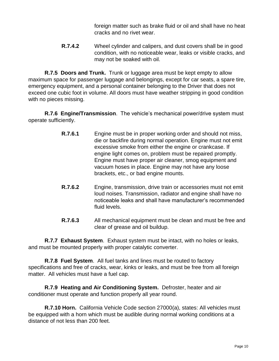foreign matter such as brake fluid or oil and shall have no heat cracks and no rivet wear.

**R.7.4.2** Wheel cylinder and calipers, and dust covers shall be in good condition, with no noticeable wear, leaks or visible cracks, and may not be soaked with oil.

**R.7.5 Doors and Trunk.** Trunk or luggage area must be kept empty to allow maximum space for passenger luggage and belongings, except for car seats, a spare tire, emergency equipment, and a personal container belonging to the Driver that does not exceed one cubic foot in volume. All doors must have weather stripping in good condition with no pieces missing.

**R.7.6 Engine/Transmission**. The vehicle's mechanical power/drive system must operate sufficiently.

- **R.7.6.1** Engine must be in proper working order and should not miss, die or backfire during normal operation. Engine must not emit excessive smoke from either the engine or crankcase. If engine light comes on, problem must be repaired promptly. Engine must have proper air cleaner, smog equipment and vacuum hoses in place. Engine may not have any loose brackets, etc., or bad engine mounts.
- **R.7.6.2** Engine, transmission, drive train or accessories must not emit loud noises. Transmission, radiator and engine shall have no noticeable leaks and shall have manufacturer's recommended fluid levels.
- **R.7.6.3** All mechanical equipment must be clean and must be free and clear of grease and oil buildup.

**R.7.7 Exhaust System**. Exhaust system must be intact, with no holes or leaks, and must be mounted properly with proper catalytic converter.

**R.7.8 Fuel System**. All fuel tanks and lines must be routed to factory specifications and free of cracks, wear, kinks or leaks, and must be free from all foreign matter. All vehicles must have a fuel cap.

**R.7.9 Heating and Air Conditioning System.** Defroster, heater and air conditioner must operate and function properly all year round.

**R.7.10 Horn.** California Vehicle Code section 27000(a), states: All vehicles must be equipped with a horn which must be audible during normal working conditions at a distance of not less than 200 feet.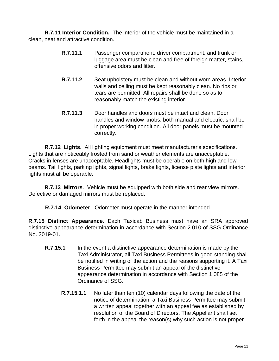**R.7.11 Interior Condition.** The interior of the vehicle must be maintained in a clean, neat and attractive condition.

- **R.7.11.1** Passenger compartment, driver compartment, and trunk or luggage area must be clean and free of foreign matter, stains, offensive odors and litter.
- **R.7.11.2** Seat upholstery must be clean and without worn areas. Interior walls and ceiling must be kept reasonably clean. No rips or tears are permitted. All repairs shall be done so as to reasonably match the existing interior.
- **R.7.11.3** Door handles and doors must be intact and clean. Door handles and window knobs, both manual and electric, shall be in proper working condition. All door panels must be mounted correctly.

**R.7.12 Lights.** All lighting equipment must meet manufacturer's specifications. Lights that are noticeably frosted from sand or weather elements are unacceptable. Cracks in lenses are unacceptable. Headlights must be operable on both high and low beams. Tail lights, parking lights, signal lights, brake lights, license plate lights and interior lights must all be operable.

**R.7.13 Mirrors**. Vehicle must be equipped with both side and rear view mirrors. Defective or damaged mirrors must be replaced.

**R.7.14 Odometer**. Odometer must operate in the manner intended.

**R.7.15 Distinct Appearance.** Each Taxicab Business must have an SRA approved distinctive appearance determination in accordance with Section 2.010 of SSG Ordinance No. 2019-01.

- **R.7.15.1** In the event a distinctive appearance determination is made by the Taxi Administrator, all Taxi Business Permittees in good standing shall be notified in writing of the action and the reasons supporting it. A Taxi Business Permittee may submit an appeal of the distinctive appearance determination in accordance with Section 1.085 of the Ordinance of SSG.
	- **R.7.15.1.1** No later than ten (10) calendar days following the date of the notice of determination, a Taxi Business Permittee may submit a written appeal together with an appeal fee as established by resolution of the Board of Directors. The Appellant shall set forth in the appeal the reason(s) why such action is not proper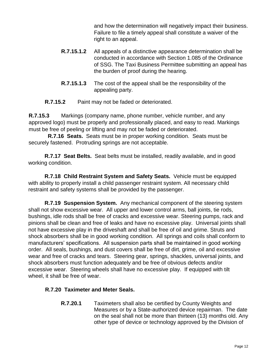and how the determination will negatively impact their business. Failure to file a timely appeal shall constitute a waiver of the right to an appeal.

- **R.7.15.1.2** All appeals of a distinctive appearance determination shall be conducted in accordance with Section 1.085 of the Ordinance of SSG. The Taxi Business Permittee submitting an appeal has the burden of proof during the hearing.
- **R.7.15.1.3** The cost of the appeal shall be the responsibility of the appealing party.

**R.7.15.2** Paint may not be faded or deteriorated.

**R.7.15.3** Markings (company name, phone number, vehicle number, and any approved logo) must be properly and professionally placed, and easy to read. Markings must be free of peeling or lifting and may not be faded or deteriorated.

 **R.7.16 Seats.** Seats must be in proper working condition. Seats must be securely fastened. Protruding springs are not acceptable.

**R.7.17 Seat Belts.** Seat belts must be installed, readily available, and in good working condition.

**R.7.18 Child Restraint System and Safety Seats.** Vehicle must be equipped with ability to properly install a child passenger restraint system. All necessary child restraint and safety systems shall be provided by the passenger.

**R.7.19 Suspension System.** Any mechanical component of the steering system shall not show excessive wear. All upper and lower control arms, ball joints, tie rods, bushings, idle rods shall be free of cracks and excessive wear. Steering pumps, rack and pinions shall be clean and free of leaks and have no excessive play. Universal joints shall not have excessive play in the driveshaft and shall be free of oil and grime. Struts and shock absorbers shall be in good working condition. All springs and coils shall conform to manufacturers' specifications. All suspension parts shall be maintained in good working order. All seals, bushings, and dust covers shall be free of dirt, grime, oil and excessive wear and free of cracks and tears. Steering gear, springs, shackles, universal joints, and shock absorbers must function adequately and be free of obvious defects and/or excessive wear. Steering wheels shall have no excessive play. If equipped with tilt wheel, it shall be free of wear.

#### **R.7.20 Taximeter and Meter Seals.**

**R.7.20.1** Taximeters shall also be certified by County Weights and Measures or by a State-authorized device repairman. The date on the seal shall not be more than thirteen (13) months old. Any other type of device or technology approved by the Division of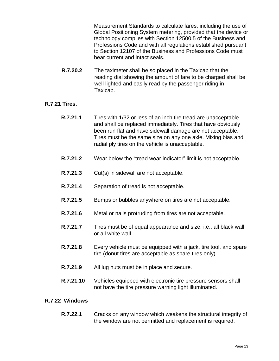Measurement Standards to calculate fares, including the use of Global Positioning System metering, provided that the device or technology complies with Section 12500.5 of the Business and Professions Code and with all regulations established pursuant to Section 12107 of the Business and Professions Code must bear current and intact seals.

**R.7.20.2** The taximeter shall be so placed in the Taxicab that the reading dial showing the amount of fare to be charged shall be well lighted and easily read by the passenger riding in Taxicab.

#### **R.7.21 Tires.**

- **R.7.21.1** Tires with 1/32 or less of an inch tire tread are unacceptable and shall be replaced immediately. Tires that have obviously been run flat and have sidewall damage are not acceptable. Tires must be the same size on any one axle. Mixing bias and radial ply tires on the vehicle is unacceptable.
- **R.7.21.2** Wear below the "tread wear indicator" limit is not acceptable.
- **R.7.21.3** Cut(s) in sidewall are not acceptable.
- **R.7.21.4** Separation of tread is not acceptable.
- **R.7.21.5** Bumps or bubbles anywhere on tires are not acceptable.
- **R.7.21.6** Metal or nails protruding from tires are not acceptable.
- **R.7.21.7** Tires must be of equal appearance and size, i.e., all black wall or all white wall.
- **R.7.21.8** Every vehicle must be equipped with a jack, tire tool, and spare tire (donut tires are acceptable as spare tires only).
- **R.7.21.9** All lug nuts must be in place and secure.
- **R.7.21.10** Vehicles equipped with electronic tire pressure sensors shall not have the tire pressure warning light illuminated.

#### **R.7.22 Windows**

**R.7.22.1** Cracks on any window which weakens the structural integrity of the window are not permitted and replacement is required.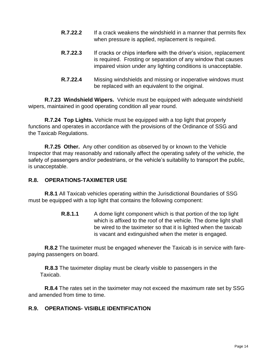- **R.7.22.2** If a crack weakens the windshield in a manner that permits flex when pressure is applied, replacement is required.
- **R.7.22.3** If cracks or chips interfere with the driver's vision, replacement is required. Frosting or separation of any window that causes impaired vision under any lighting conditions is unacceptable.
- **R.7.22.4** Missing windshields and missing or inoperative windows must be replaced with an equivalent to the original.

**R.7.23 Windshield Wipers.** Vehicle must be equipped with adequate windshield wipers, maintained in good operating condition all year round.

**R.7.24 Top Lights.** Vehicle must be equipped with a top light that properly functions and operates in accordance with the provisions of the Ordinance of SSG and the Taxicab Regulations.

**R.7.25 Other.** Any other condition as observed by or known to the Vehicle Inspector that may reasonably and rationally affect the operating safety of the vehicle, the safety of passengers and/or pedestrians, or the vehicle's suitability to transport the public, is unacceptable.

#### <span id="page-15-0"></span>**R.8. OPERATIONS-TAXIMETER USE**

**R.8.1** All Taxicab vehicles operating within the Jurisdictional Boundaries of SSG must be equipped with a top light that contains the following component:

> **R.8.1.1** A dome light component which is that portion of the top light which is affixed to the roof of the vehicle. The dome light shall be wired to the taximeter so that it is lighted when the taxicab is vacant and extinguished when the meter is engaged.

**R.8.2** The taximeter must be engaged whenever the Taxicab is in service with farepaying passengers on board.

**R.8.3** The taximeter display must be clearly visible to passengers in the Taxicab.

**R.8.4** The rates set in the taximeter may not exceed the maximum rate set by SSG and amended from time to time.

#### <span id="page-15-1"></span>**R.9. OPERATIONS- VISIBLE IDENTIFICATION**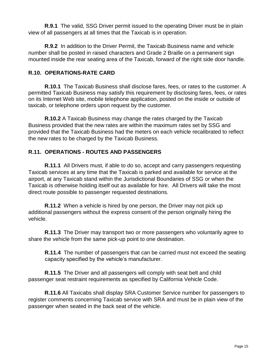**R.9.1** The valid, SSG Driver permit issued to the operating Driver must be in plain view of all passengers at all times that the Taxicab is in operation.

**R.9.2** In addition to the Driver Permit, the Taxicab Business name and vehicle number shall be posted in raised characters and Grade 2 Braille on a permanent sign mounted inside the rear seating area of the Taxicab, forward of the right side door handle.

#### <span id="page-16-0"></span>**R.10. OPERATIONS-RATE CARD**

**R.10.1** The Taxicab Business shall disclose fares, fees, or rates to the customer. A permitted Taxicab Business may satisfy this requirement by disclosing fares, fees, or rates on its Internet Web site, mobile telephone application, posted on the inside or outside of taxicab, or telephone orders upon request by the customer.

**R.10.2** A Taxicab Business may change the rates charged by the Taxicab Business provided that the new rates are within the maximum rates set by SSG and provided that the Taxicab Business had the meters on each vehicle recalibrated to reflect the new rates to be charged by the Taxicab Business.

#### <span id="page-16-1"></span>**R.11. OPERATIONS - ROUTES AND PASSENGERS**

**R.11.1** All Drivers must, if able to do so, accept and carry passengers requesting Taxicab services at any time that the Taxicab is parked and available for service at the airport, at any Taxicab stand within the Jurisdictional Boundaries of SSG or when the Taxicab is otherwise holding itself out as available for hire. All Drivers will take the most direct route possible to passenger requested destinations.

**R.11.2** When a vehicle is hired by one person, the Driver may not pick up additional passengers without the express consent of the person originally hiring the vehicle.

**R.11.3** The Driver may transport two or more passengers who voluntarily agree to share the vehicle from the same pick-up point to one destination.

**R.11.4** The number of passengers that can be carried must not exceed the seating capacity specified by the vehicle's manufacturer.

**R.11.5** The Driver and all passengers will comply with seat belt and child passenger seat restraint requirements as specified by California Vehicle Code.

**R.11.6** All Taxicabs shall display SRA Customer Service number for passengers to register comments concerning Taxicab service with SRA and must be in plain view of the passenger when seated in the back seat of the vehicle.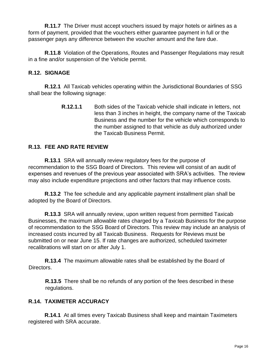**R.11.7** The Driver must accept vouchers issued by major hotels or airlines as a form of payment, provided that the vouchers either guarantee payment in full or the passenger pays any difference between the voucher amount and the fare due.

**R.11.8** Violation of the Operations, Routes and Passenger Regulations may result in a fine and/or suspension of the Vehicle permit.

#### <span id="page-17-0"></span>**R.12. SIGNAGE**

**R.12.1** All Taxicab vehicles operating within the Jurisdictional Boundaries of SSG shall bear the following signage:

> **R.12.1.1** Both sides of the Taxicab vehicle shall indicate in letters, not less than 3 inches in height, the company name of the Taxicab Business and the number for the vehicle which corresponds to the number assigned to that vehicle as duly authorized under the Taxicab Business Permit.

#### <span id="page-17-1"></span>**R.13. FEE AND RATE REVIEW**

**R.13.1** SRA will annually review regulatory fees for the purpose of recommendation to the SSG Board of Directors. This review will consist of an audit of expenses and revenues of the previous year associated with SRA's activities. The review may also include expenditure projections and other factors that may influence costs.

**R.13.2** The fee schedule and any applicable payment installment plan shall be adopted by the Board of Directors.

**R.13.3** SRA will annually review, upon written request from permitted Taxicab Businesses, the maximum allowable rates charged by a Taxicab Business for the purpose of recommendation to the SSG Board of Directors. This review may include an analysis of increased costs incurred by all Taxicab Business. Requests for Reviews must be submitted on or near June 15. If rate changes are authorized, scheduled taximeter recalibrations will start on or after July 1.

**R.13.4** The maximum allowable rates shall be established by the Board of Directors.

**R.13.5** There shall be no refunds of any portion of the fees described in these regulations.

#### <span id="page-17-2"></span>**R.14. TAXIMETER ACCURACY**

**R.14.1** At all times every Taxicab Business shall keep and maintain Taximeters registered with SRA accurate.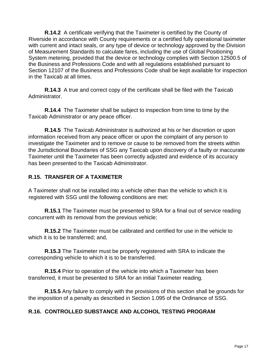**R.14.2** A certificate verifying that the Taximeter is certified by the County of Riverside in accordance with County requirements or a certified fully operational taximeter with current and intact seals, or any type of device or technology approved by the Division of Measurement Standards to calculate fares, including the use of Global Positioning System metering, provided that the device or technology complies with Section 12500.5 of the Business and Professions Code and with all regulations established pursuant to Section 12107 of the Business and Professions Code shall be kept available for inspection in the Taxicab at all times.

**R.14.3** A true and correct copy of the certificate shall be filed with the Taxicab Administrator.

**R.14.4** The Taximeter shall be subject to inspection from time to time by the Taxicab Administrator or any peace officer.

**R.14.5** The Taxicab Administrator is authorized at his or her discretion or upon information received from any peace officer or upon the complaint of any person to investigate the Taximeter and to remove or cause to be removed from the streets within the Jurisdictional Boundaries of SSG any Taxicab upon discovery of a faulty or inaccurate Taximeter until the Taximeter has been correctly adjusted and evidence of its accuracy has been presented to the Taxicab Administrator.

#### <span id="page-18-0"></span>**R.15. TRANSFER OF A TAXIMETER**

A Taximeter shall not be installed into a vehicle other than the vehicle to which it is registered with SSG until the following conditions are met:

**R.15.1** The Taximeter must be presented to SRA for a final out of service reading concurrent with its removal from the previous vehicle;

**R.15.2** The Taximeter must be calibrated and certified for use in the vehicle to which it is to be transferred; and,

**R.15.3** The Taximeter must be properly registered with SRA to indicate the corresponding vehicle to which it is to be transferred.

**R.15.4** Prior to operation of the vehicle into which a Taximeter has been transferred, it must be presented to SRA for an initial Taximeter reading.

**R.15.5** Any failure to comply with the provisions of this section shall be grounds for the imposition of a penalty as described in Section 1.095 of the Ordinance of SSG.

#### <span id="page-18-1"></span>**R.16. CONTROLLED SUBSTANCE AND ALCOHOL TESTING PROGRAM**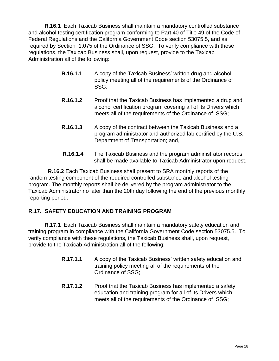**R.16.1** Each Taxicab Business shall maintain a mandatory controlled substance and alcohol testing certification program conforming to Part 40 of Title 49 of the Code of Federal Regulations and the California Government Code section 53075.5, and as required by Section 1.075 of the Ordinance of SSG. To verify compliance with these regulations, the Taxicab Business shall, upon request, provide to the Taxicab Administration all of the following:

- **R.16.1.1** A copy of the Taxicab Business' written drug and alcohol policy meeting all of the requirements of the Ordinance of SSG;
- **R.16.1.2** Proof that the Taxicab Business has implemented a drug and alcohol certification program covering all of its Drivers which meets all of the requirements of the Ordinance of SSG;
- **R.16.1.3** A copy of the contract between the Taxicab Business and a program administrator and authorized lab certified by the U.S. Department of Transportation; and,
- **R.16.1.4** The Taxicab Business and the program administrator records shall be made available to Taxicab Administrator upon request.

 **R.16.2** Each Taxicab Business shall present to SRA monthly reports of the random testing component of the required controlled substance and alcohol testing program. The monthly reports shall be delivered by the program administrator to the Taxicab Administrator no later than the 20th day following the end of the previous monthly reporting period.

#### <span id="page-19-0"></span>**R.17. SAFETY EDUCATION AND TRAINING PROGRAM**

**R.17.1** Each Taxicab Business shall maintain a mandatory safety education and training program in compliance with the California Government Code section 53075.5. To verify compliance with these regulations, the Taxicab Business shall, upon request, provide to the Taxicab Administration all of the following:

- **R.17.1.1** A copy of the Taxicab Business' written safety education and training policy meeting all of the requirements of the Ordinance of SSG;
- **R.17.1.2** Proof that the Taxicab Business has implemented a safety education and training program for all of its Drivers which meets all of the requirements of the Ordinance of SSG;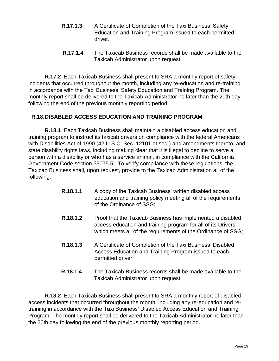- **R.17.1.3** A Certificate of Completion of the Taxi Business' Safety Education and Training Program issued to each permitted driver.
- **R.17.1.4** The Taxicab Business records shall be made available to the Taxicab Administrator upon request.

**R.17.2** Each Taxicab Business shall present to SRA a monthly report of safety incidents that occurred throughout the month, including any re-education and re-training in accordance with the Taxi Business' Safety Education and Training Program. The monthly report shall be delivered to the Taxicab Administrator no later than the 20th day following the end of the previous monthly reporting period.

#### <span id="page-20-0"></span> **R.18.DISABLED ACCESS EDUCATION AND TRAINING PROGRAM**

**R.18.1** Each Taxicab Business shall maintain a disabled access education and training program to instruct its taxicab drivers on compliance with the federal Americans with Disabilities Act of 1990 (42 U.S.C. Sec. 12101 et seq.) and amendments thereto, and state disability rights laws, including making clear that it is illegal to decline to serve a person with a disability or who has a service animal, in compliance with the California Government Code section 53075.5. To verify compliance with these regulations, the Taxicab Business shall, upon request, provide to the Taxicab Administration all of the following:

- **R.18.1.1** A copy of the Taxicab Business' written disabled access education and training policy meeting all of the requirements of the Ordinance of SSG;
- **R.18.1.2** Proof that the Taxicab Business has implemented a disabled access education and training program for all of its Drivers which meets all of the requirements of the Ordinance of SSG;
- **R.18.1.3** A Certificate of Completion of the Taxi Business' Disabled Access Education and Training Program issued to each permitted driver.
- **R.18.1.4** The Taxicab Business records shall be made available to the Taxicab Administrator upon request.

**R.18.2** Each Taxicab Business shall present to SRA a monthly report of disabled access incidents that occurred throughout the month, including any re-education and retraining in accordance with the Taxi Business' Disabled Access Education and Training Program. The monthly report shall be delivered to the Taxicab Administrator no later than the 20th day following the end of the previous monthly reporting period.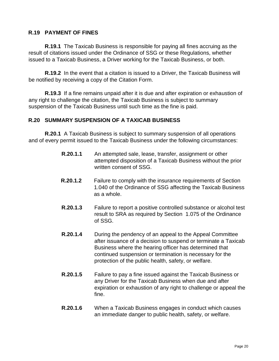#### <span id="page-21-0"></span>**R.19 PAYMENT OF FINES**

**R.19.1** The Taxicab Business is responsible for paying all fines accruing as the result of citations issued under the Ordinance of SSG or these Regulations, whether issued to a Taxicab Business, a Driver working for the Taxicab Business, or both.

**R.19.2** In the event that a citation is issued to a Driver, the Taxicab Business will be notified by receiving a copy of the Citation Form.

**R.19.3** If a fine remains unpaid after it is due and after expiration or exhaustion of any right to challenge the citation, the Taxicab Business is subject to summary suspension of the Taxicab Business until such time as the fine is paid.

#### <span id="page-21-1"></span>**R.20 SUMMARY SUSPENSION OF A TAXICAB BUSINESS**

**R.20.1** A Taxicab Business is subject to summary suspension of all operations and of every permit issued to the Taxicab Business under the following circumstances:

- **R.20.1.1** An attempted sale, lease, transfer, assignment or other attempted disposition of a Taxicab Business without the prior written consent of SSG.
- **R.20.1.2** Failure to comply with the insurance requirements of Section 1.040 of the Ordinance of SSG affecting the Taxicab Business as a whole.
- **R.20.1.3** Failure to report a positive controlled substance or alcohol test result to SRA as required by Section 1.075 of the Ordinance of SSG.
- **R.20.1.4** During the pendency of an appeal to the Appeal Committee after issuance of a decision to suspend or terminate a Taxicab Business where the hearing officer has determined that continued suspension or termination is necessary for the protection of the public health, safety, or welfare.
- **R.20.1.5** Failure to pay a fine issued against the Taxicab Business or any Driver for the Taxicab Business when due and after expiration or exhaustion of any right to challenge or appeal the fine.
- **R.20.1.6** When a Taxicab Business engages in conduct which causes an immediate danger to public health, safety, or welfare.